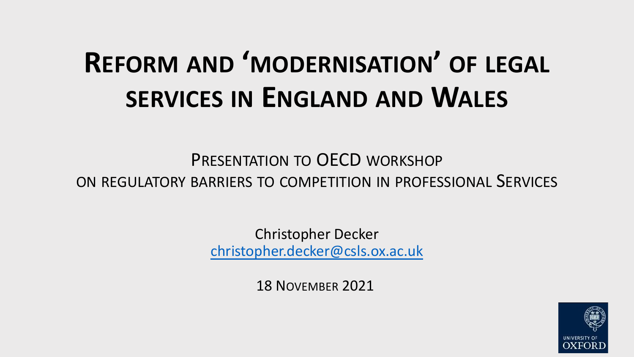# **REFORM AND 'MODERNISATION SERVICES IN [ENGLAND](mailto:christopher.decker@csls.ox.ac.uk) AN**

PRESENTATION TO OECD WORK ON REGULATORY BARRIERS TO COMPETITION IN P

> Christopher Decker christopher.decker@csls.ox.ac

> > 18 NOVEMBER 2021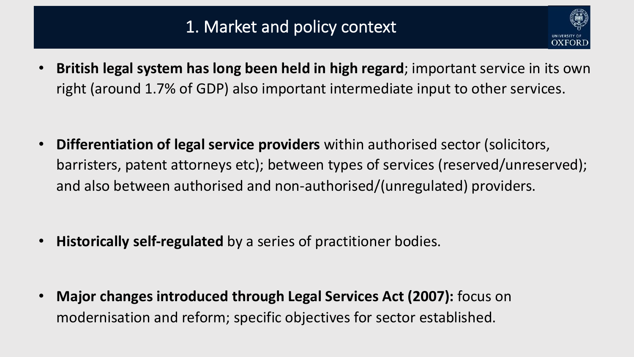

• **British legal system has long been held in high regard**; important service in its own right (around 1.7% of GDP) also important intermediate input to other services.

• **Differentiation of legal service providers** within authorised sector (solicitors, barristers, patent attorneys etc); between types of services (reserved/unreserved); and also between authorised and non-authorised/(unregulated) providers.

• **Historically self-regulated** by a series of practitioner bodies.

• **Major changes introduced through Legal Services Act (2007):** focus on modernisation and reform; specific objectives for sector established.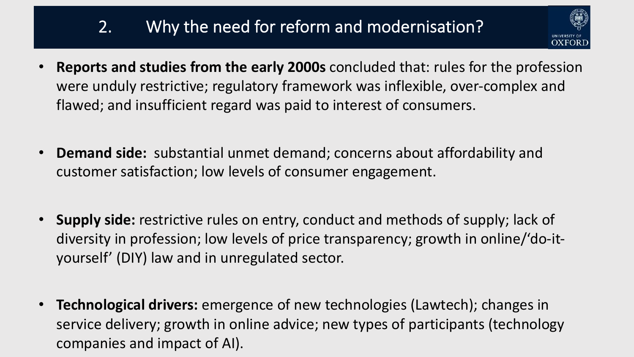## 2. Why the need for reform and modernisation?



- **Reports and studies from the early 2000s** concluded that: rules for the profession were unduly restrictive; regulatory framework was inflexible, over-complex and flawed; and insufficient regard was paid to interest of consumers.
- **Demand side:** substantial unmet demand; concerns about affordability and customer satisfaction; low levels of consumer engagement.
- **Supply side:** restrictive rules on entry, conduct and methods of supply; lack of diversity in profession; low levels of price transparency; growth in online/'do-ityourself' (DIY) law and in unregulated sector.
- **Technological drivers:** emergence of new technologies (Lawtech); changes in service delivery; growth in online advice; new types of participants (technology companies and impact of AI).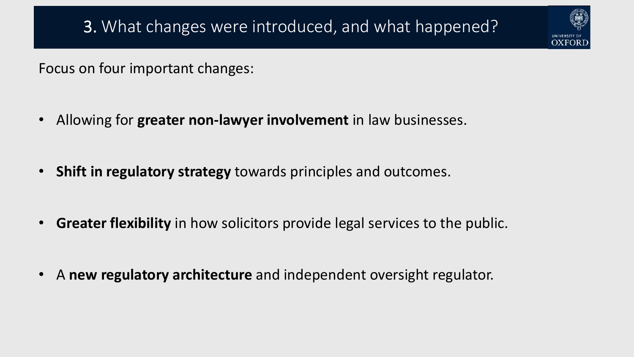Focus on four important changes:

- Allowing for **greater non-lawyer involvement** in law businesses.
- **Shift in regulatory strategy** towards principles and outcomes.
- **Greater flexibility** in how solicitors provide legal services to the public.
- A **new regulatory architecture** and independent oversight regulator.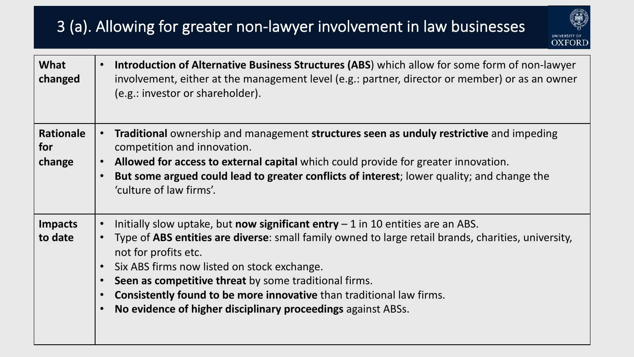### 3 (a). Allowing for greater non-lawyer involvement in law businesses



| What<br>changed                   | Introduction of Alternative Business Structures (ABS) which allow for some form of non-lawyer<br>$\bullet$<br>involvement, either at the management level (e.g.: partner, director or member) or as an owner<br>(e.g.: investor or shareholder).                                                                                                                                                                                                                                                                                                     |
|-----------------------------------|------------------------------------------------------------------------------------------------------------------------------------------------------------------------------------------------------------------------------------------------------------------------------------------------------------------------------------------------------------------------------------------------------------------------------------------------------------------------------------------------------------------------------------------------------|
| <b>Rationale</b><br>for<br>change | Traditional ownership and management structures seen as unduly restrictive and impeding<br>$\bullet$<br>competition and innovation.<br>Allowed for access to external capital which could provide for greater innovation.<br>$\bullet$<br>But some argued could lead to greater conflicts of interest; lower quality; and change the<br>$\bullet$<br>'culture of law firms'.                                                                                                                                                                         |
| <b>Impacts</b><br>to date         | Initially slow uptake, but now significant entry $-1$ in 10 entities are an ABS.<br>$\bullet$<br>Type of ABS entities are diverse: small family owned to large retail brands, charities, university,<br>$\bullet$<br>not for profits etc.<br>Six ABS firms now listed on stock exchange.<br>$\bullet$<br>Seen as competitive threat by some traditional firms.<br>$\bullet$<br><b>Consistently found to be more innovative</b> than traditional law firms.<br>$\bullet$<br>No evidence of higher disciplinary proceedings against ABSs.<br>$\bullet$ |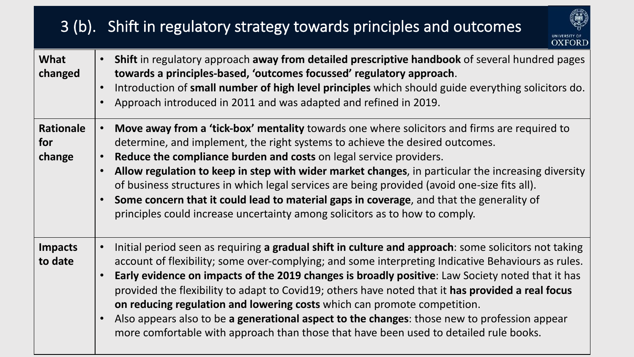### 3 (b). Shift in regulatory strategy towards principles and outcomes



| What<br>changed                   | • Shift in regulatory approach away from detailed prescriptive handbook of several hundred pages<br>towards a principles-based, 'outcomes focussed' regulatory approach.<br>Introduction of small number of high level principles which should guide everything solicitors do.<br>Approach introduced in 2011 and was adapted and refined in 2019.                                                                                                                                                                                                                                                                                                                                       |
|-----------------------------------|------------------------------------------------------------------------------------------------------------------------------------------------------------------------------------------------------------------------------------------------------------------------------------------------------------------------------------------------------------------------------------------------------------------------------------------------------------------------------------------------------------------------------------------------------------------------------------------------------------------------------------------------------------------------------------------|
| <b>Rationale</b><br>for<br>change | Move away from a 'tick-box' mentality towards one where solicitors and firms are required to<br>$\bullet$<br>determine, and implement, the right systems to achieve the desired outcomes.<br>Reduce the compliance burden and costs on legal service providers.<br>Allow regulation to keep in step with wider market changes, in particular the increasing diversity<br>of business structures in which legal services are being provided (avoid one-size fits all).<br>Some concern that it could lead to material gaps in coverage, and that the generality of<br>principles could increase uncertainty among solicitors as to how to comply.                                         |
| <b>Impacts</b><br>to date         | Initial period seen as requiring a gradual shift in culture and approach: some solicitors not taking<br>account of flexibility; some over-complying; and some interpreting Indicative Behaviours as rules.<br>Early evidence on impacts of the 2019 changes is broadly positive: Law Society noted that it has<br>provided the flexibility to adapt to Covid19; others have noted that it has provided a real focus<br>on reducing regulation and lowering costs which can promote competition.<br>Also appears also to be a generational aspect to the changes: those new to profession appear<br>more comfortable with approach than those that have been used to detailed rule books. |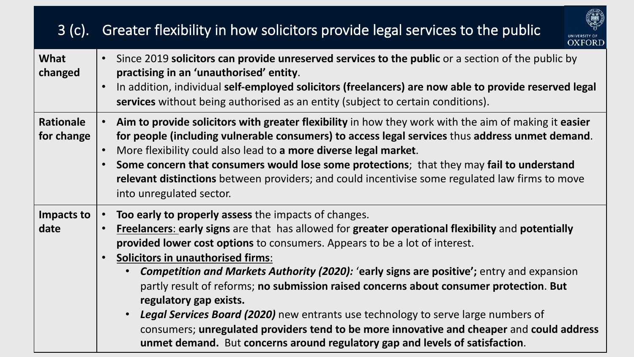#### 3 (c). Greater flexibility in how solicitors provide legal services to the public



| What<br>changed                | Since 2019 solicitors can provide unreserved services to the public or a section of the public by<br>practising in an 'unauthorised' entity.<br>In addition, individual self-employed solicitors (freelancers) are now able to provide reserved legal<br>services without being authorised as an entity (subject to certain conditions).                                                                                                                                                                                                                                                                                                                                                                                                                                                                                                 |
|--------------------------------|------------------------------------------------------------------------------------------------------------------------------------------------------------------------------------------------------------------------------------------------------------------------------------------------------------------------------------------------------------------------------------------------------------------------------------------------------------------------------------------------------------------------------------------------------------------------------------------------------------------------------------------------------------------------------------------------------------------------------------------------------------------------------------------------------------------------------------------|
| <b>Rationale</b><br>for change | Aim to provide solicitors with greater flexibility in how they work with the aim of making it easier<br>$\bullet$<br>for people (including vulnerable consumers) to access legal services thus address unmet demand.<br>More flexibility could also lead to a more diverse legal market.<br>Some concern that consumers would lose some protections; that they may fail to understand<br>$\bullet$<br>relevant distinctions between providers; and could incentivise some regulated law firms to move<br>into unregulated sector.                                                                                                                                                                                                                                                                                                        |
| Impacts to<br>date             | Too early to properly assess the impacts of changes.<br>$\bullet$<br>Freelancers: early signs are that has allowed for greater operational flexibility and potentially<br>provided lower cost options to consumers. Appears to be a lot of interest.<br><b>Solicitors in unauthorised firms:</b><br>$\bullet$<br><b>Competition and Markets Authority (2020): 'early signs are positive';</b> entry and expansion<br>$\bullet$<br>partly result of reforms; no submission raised concerns about consumer protection. But<br>regulatory gap exists.<br><b>Legal Services Board (2020)</b> new entrants use technology to serve large numbers of<br>$\bullet$<br>consumers; unregulated providers tend to be more innovative and cheaper and could address<br>unmet demand. But concerns around regulatory gap and levels of satisfaction. |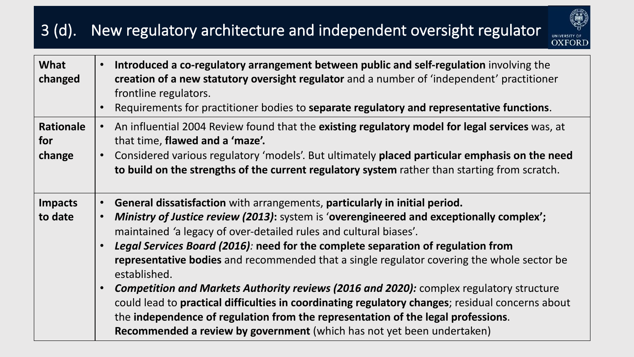#### 3 (d). New regulatory architecture and independent oversight regulator



| What<br>changed                   | Introduced a co-regulatory arrangement between public and self-regulation involving the<br>$\bullet$<br>creation of a new statutory oversight regulator and a number of 'independent' practitioner<br>frontline regulators.<br>Requirements for practitioner bodies to separate regulatory and representative functions.                                                                                                                                                                                                                                                                                                                                                                                                                                                                                                                                              |
|-----------------------------------|-----------------------------------------------------------------------------------------------------------------------------------------------------------------------------------------------------------------------------------------------------------------------------------------------------------------------------------------------------------------------------------------------------------------------------------------------------------------------------------------------------------------------------------------------------------------------------------------------------------------------------------------------------------------------------------------------------------------------------------------------------------------------------------------------------------------------------------------------------------------------|
| <b>Rationale</b><br>for<br>change | An influential 2004 Review found that the existing regulatory model for legal services was, at<br>$\bullet$<br>that time, flawed and a 'maze'.<br>Considered various regulatory 'models'. But ultimately placed particular emphasis on the need<br>$\bullet$<br>to build on the strengths of the current regulatory system rather than starting from scratch.                                                                                                                                                                                                                                                                                                                                                                                                                                                                                                         |
| <b>Impacts</b><br>to date         | General dissatisfaction with arrangements, particularly in initial period.<br>$\bullet$<br>Ministry of Justice review (2013): system is 'overengineered and exceptionally complex';<br>$\bullet$<br>maintained 'a legacy of over-detailed rules and cultural biases'.<br>Legal Services Board (2016): need for the complete separation of regulation from<br>$\bullet$<br>representative bodies and recommended that a single regulator covering the whole sector be<br>established.<br><b>Competition and Markets Authority reviews (2016 and 2020):</b> complex regulatory structure<br>$\bullet$<br>could lead to practical difficulties in coordinating regulatory changes; residual concerns about<br>the independence of regulation from the representation of the legal professions.<br>Recommended a review by government (which has not yet been undertaken) |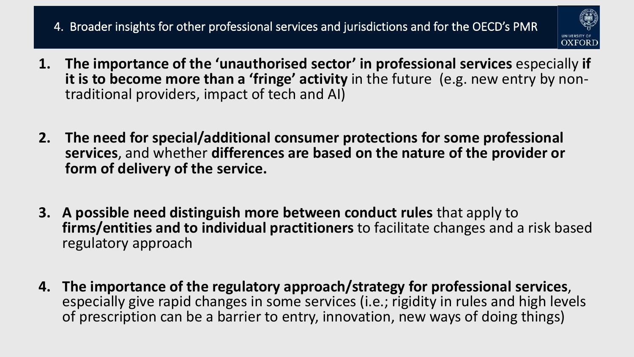#### 4. Broader insights for other professional services and jurisdictions and for the OECD's PMR



- **1. The importance of the 'unauthorised sector' in professional services** especially **if it is to become more than a 'fringe' activity** in the future (e.g. new entry by non-<br>traditional providers, impact of tech and AI)
- **2. The need for special/additional consumer protections for some professional services**, and whether **differences are based on the nature of the provider or form of delivery of the service.**
- **3. A possible need distinguish more between conduct rules** that apply to **firms/entities and to individual practitioners** to facilitate changes and a risk based regulatory approach
- **4. The importance of the regulatory approach/strategy for professional services**, especially give rapid changes in some services (i.e.; rigidity in rules and high levels of prescription can be a barrier to entry, innovation, new ways of doing things)